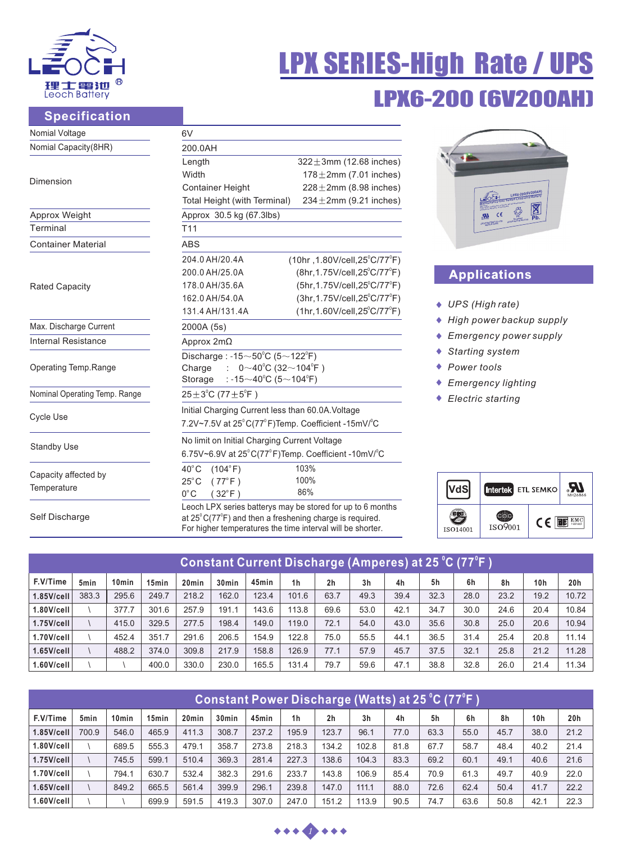

# LPX6-200 (6V200AH) LPX SERIES-High Rate / UPS

# **Specification**

| Nomial Voltage                      | 6V                                                                                                                                                                                                      |                                                                                                                                                                                                               |                                                                    |
|-------------------------------------|---------------------------------------------------------------------------------------------------------------------------------------------------------------------------------------------------------|---------------------------------------------------------------------------------------------------------------------------------------------------------------------------------------------------------------|--------------------------------------------------------------------|
| Nomial Capacity(8HR)                | 200.0AH                                                                                                                                                                                                 |                                                                                                                                                                                                               |                                                                    |
| Dimension                           | Length<br>Width<br><b>Container Height</b><br>Total Height (with Terminal)                                                                                                                              | $322 \pm 3$ mm (12.68 inches)<br>$178 \pm 2$ mm (7.01 inches)<br>$228 \pm 2$ mm (8.98 inches)<br>$234 \pm 2$ mm (9.21 inches)                                                                                 |                                                                    |
| Approx Weight                       | Approx 30.5 kg (67.3lbs)                                                                                                                                                                                |                                                                                                                                                                                                               | $\boxtimes$                                                        |
| Terminal                            | T <sub>11</sub>                                                                                                                                                                                         |                                                                                                                                                                                                               |                                                                    |
| <b>Container Material</b>           | <b>ABS</b>                                                                                                                                                                                              |                                                                                                                                                                                                               |                                                                    |
| <b>Rated Capacity</b>               | 204.0 AH/20.4A<br>200.0 AH/25.0A<br>178.0 AH/35.6A<br>162.0 AH/54.0A<br>131.4 AH/131.4A                                                                                                                 | $(10hr, 1.80V/cell, 25^{\circ}C/77^{\circ}F)$<br>(8hr, 1.75V/cell, 25°C/77°F)<br>$(5hr, 1.75V/cell, 25^{\circ}C/77^{\circ}F)$<br>(3hr, 1.75V/cell, 25°C/77°F)<br>$(1hr, 1.60V/cell, 25^{\circ}C/77^{\circ}F)$ | <b>Applications</b><br>UPS (High rate)                             |
| Max. Discharge Current              | 2000A (5s)                                                                                                                                                                                              |                                                                                                                                                                                                               | High power backup su                                               |
| <b>Internal Resistance</b>          | Approx 2mΩ                                                                                                                                                                                              |                                                                                                                                                                                                               | Emergency power sup                                                |
| Operating Temp.Range                | Discharge: $-15 \sim 50^{\circ}$ C (5 $\sim$ 122 $^{\circ}$ F)<br>: $0 \sim 40^{\circ}$ C (32 $\sim$ 104 $^{\circ}$ F)<br>Charge<br>: -15 $\sim$ 40 $^{\circ}$ C (5 $\sim$ 104 $^{\circ}$ F)<br>Storage |                                                                                                                                                                                                               | <b>Starting system</b><br>Power tools<br><b>Emergency lighting</b> |
| Nominal Operating Temp. Range       | $25 \pm 3^{\circ}$ C (77 $\pm 5^{\circ}$ F)                                                                                                                                                             |                                                                                                                                                                                                               | Electric starting                                                  |
| <b>Cycle Use</b>                    | Initial Charging Current less than 60.0A. Voltage<br>7.2V~7.5V at 25°C(77°F)Temp. Coefficient -15mV/°C                                                                                                  |                                                                                                                                                                                                               |                                                                    |
| <b>Standby Use</b>                  | No limit on Initial Charging Current Voltage<br>6.75V~6.9V at 25°C(77°F)Temp. Coefficient -10mV/°C                                                                                                      |                                                                                                                                                                                                               |                                                                    |
| Capacity affected by<br>Temperature | $40^{\circ}$ C<br>(104°F)<br>$25^{\circ}$ C<br>$(77^{\circ}F)$<br>$0^{\circ}$ C<br>$32^{\circ}$ F                                                                                                       | 103%<br>100%<br>86%                                                                                                                                                                                           | VdS <br>Intertek ETL SEMK                                          |
| Self Discharge                      | Leoch LPX series batterys may be stored for up to 6 months<br>at $25^{\circ}$ C(77 $^{\circ}$ F) and then a freshening charge is required.                                                              |                                                                                                                                                                                                               | 2<br>( C                                                           |

For higher temperatures the time interval will be shorter.

| held above the strip, or increasing<br>cε<br>Pb.<br><b>ANTIQUE MUST DE RECYCLED</b><br>LEOCH BATTERY CO. LTD. |  |
|---------------------------------------------------------------------------------------------------------------|--|
|                                                                                                               |  |
|                                                                                                               |  |
| <b>Applications</b>                                                                                           |  |

- *UPS (High rate)*
- *High power backup supply*
- *Emergency power supply*
- *Starting system*
- *Power tools*
- *Emergency lighting*
- *Electric starting*

|          | Intertek ETL SEMKO |    | MH26866       |
|----------|--------------------|----|---------------|
| ISO14001 | ISO9001            | (C | EMC<br>tested |

| <u> Constant Current Discharge (Amperes) at 25 °C (77°F )</u> |                  |                   |                   |                   |                   |       |                |                |                |      |      |      |      |                 |                 |
|---------------------------------------------------------------|------------------|-------------------|-------------------|-------------------|-------------------|-------|----------------|----------------|----------------|------|------|------|------|-----------------|-----------------|
| F.V/Time                                                      | 5 <sub>min</sub> | 10 <sub>min</sub> | 15 <sub>min</sub> | 20 <sub>min</sub> | 30 <sub>min</sub> | 45min | 1 <sub>h</sub> | 2 <sub>h</sub> | 3 <sub>h</sub> | 4h   | 5h   | 6h   | 8h   | 10 <sub>h</sub> | 20 <sub>h</sub> |
| $1.85$ V/cell                                                 | 383.3            | 295.6             | 249.7             | 218.2             | 162.0             | 123.4 | 101.6          | 63.7           | 49.3           | 39.4 | 32.3 | 28.0 | 23.2 | 19.2            | 10.72           |
| $1.80$ V/cell                                                 |                  | 377.7             | 301.6             | 257.9             | 191.1             | 143.6 | 113.8          | 69.6           | 53.0           | 42.1 | 34.7 | 30.0 | 24.6 | 20.4            | 10.84           |
| $1.75$ V/cell                                                 |                  | 415.0             | 329.5             | 277.5             | 198.4             | 149.0 | 119.0          | 72.1           | 54.0           | 43.0 | 35.6 | 30.8 | 25.0 | 20.6            | 10.94           |
| $1.70$ V/cell                                                 |                  | 452.4             | 351.7             | 291.6             | 206.5             | 154.9 | 122.8          | 75.0           | 55.5           | 44.1 | 36.5 | 31.4 | 25.4 | 20.8            | 11.14           |
| $1.65$ V/cell                                                 |                  | 488.2             | 374.0             | 309.8             | 217.9             | 158.8 | 126.9          | 77.1           | 57.9           | 45.7 | 37.5 | 32.1 | 25.8 | 21.2            | 11.28           |
|                                                               |                  |                   | 400.0             | 330.0             | 230.0             | 165.5 | 131.4          | 79.7           | 59.6           | 47.1 | 38.8 | 32.8 | 26.0 | 21.4            | 11.34           |

| Constant Power Discharge (Watts) at 25 °C (77°F ) |                  |                   |                   |                   |                   |       |                |                |                |      |      |      |      |      |      |
|---------------------------------------------------|------------------|-------------------|-------------------|-------------------|-------------------|-------|----------------|----------------|----------------|------|------|------|------|------|------|
| F.V/Time                                          | 5 <sub>min</sub> | 10 <sub>min</sub> | 15 <sub>min</sub> | 20 <sub>min</sub> | 30 <sub>min</sub> | 45min | 1 <sub>h</sub> | 2 <sub>h</sub> | 3 <sub>h</sub> | 4h   | 5h   | 6h   | 8h   | 10h  | 20h  |
| $1.85$ V/cell                                     | 700.9            | 546.0             | 465.9             | 411.3             | 308.7             | 237.2 | 195.9          | 123.7          | 96.1           | 77.0 | 63.3 | 55.0 | 45.7 | 38.0 | 21.2 |
| $1.80$ V/cell                                     |                  | 689.5             | 555.3             | 479.1             | 358.7             | 273.8 | 218.3          | 134.2          | 102.8          | 81.8 | 67.7 | 58.7 | 48.4 | 40.2 | 21.4 |
| $1.75$ V/cell                                     |                  | 745.5             | 599.1             | 510.4             | 369.3             | 281.4 | 227.3          | 138.6          | 104.3          | 83.3 | 69.2 | 60.1 | 49.1 | 40.6 | 21.6 |
| 1.70V/cell                                        |                  | 794.1             | 630.7             | 532.4             | 382.3             | 291.6 | 233.7          | 143.8          | 106.9          | 85.4 | 70.9 | 61.3 | 49.7 | 40.9 | 22.0 |
| $1.65$ V/cell                                     |                  | 849.2             | 665.5             | 561.4             | 399.9             | 296.1 | 239.8          | 147.0          | 111.1          | 88.0 | 72.6 | 62.4 | 50.4 | 41.7 | 22.2 |
|                                                   |                  |                   | 699.9             | 591.5             | 419.3             | 307.0 | 247.0          | 151.2          | 113.9          | 90.5 | 74.7 | 63.6 | 50.8 | 42.1 | 22.3 |